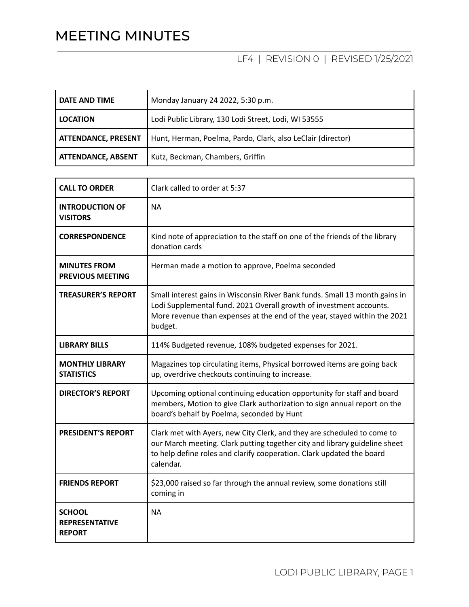## MEETING MINUTES

## LF4 | REVISION 0 | REVISED 1/25/2021

| DATE AND TIME              | Monday January 24 2022, 5:30 p.m.                           |
|----------------------------|-------------------------------------------------------------|
| <b>LOCATION</b>            | Lodi Public Library, 130 Lodi Street, Lodi, WI 53555        |
| <b>ATTENDANCE, PRESENT</b> | Hunt, Herman, Poelma, Pardo, Clark, also LeClair (director) |
| <b>ATTENDANCE, ABSENT</b>  | Kutz, Beckman, Chambers, Griffin                            |

| <b>CALL TO ORDER</b>                                    | Clark called to order at 5:37                                                                                                                                                                                                               |
|---------------------------------------------------------|---------------------------------------------------------------------------------------------------------------------------------------------------------------------------------------------------------------------------------------------|
| <b>INTRODUCTION OF</b><br><b>VISITORS</b>               | <b>NA</b>                                                                                                                                                                                                                                   |
| <b>CORRESPONDENCE</b>                                   | Kind note of appreciation to the staff on one of the friends of the library<br>donation cards                                                                                                                                               |
| <b>MINUTES FROM</b><br><b>PREVIOUS MEETING</b>          | Herman made a motion to approve, Poelma seconded                                                                                                                                                                                            |
| <b>TREASURER'S REPORT</b>                               | Small interest gains in Wisconsin River Bank funds. Small 13 month gains in<br>Lodi Supplemental fund. 2021 Overall growth of investment accounts.<br>More revenue than expenses at the end of the year, stayed within the 2021<br>budget.  |
| <b>LIBRARY BILLS</b>                                    | 114% Budgeted revenue, 108% budgeted expenses for 2021.                                                                                                                                                                                     |
| <b>MONTHLY LIBRARY</b><br><b>STATISTICS</b>             | Magazines top circulating items, Physical borrowed items are going back<br>up, overdrive checkouts continuing to increase.                                                                                                                  |
| <b>DIRECTOR'S REPORT</b>                                | Upcoming optional continuing education opportunity for staff and board<br>members, Motion to give Clark authorization to sign annual report on the<br>board's behalf by Poelma, seconded by Hunt                                            |
| <b>PRESIDENT'S REPORT</b>                               | Clark met with Ayers, new City Clerk, and they are scheduled to come to<br>our March meeting. Clark putting together city and library guideline sheet<br>to help define roles and clarify cooperation. Clark updated the board<br>calendar. |
| <b>FRIENDS REPORT</b>                                   | \$23,000 raised so far through the annual review, some donations still<br>coming in                                                                                                                                                         |
| <b>SCHOOL</b><br><b>REPRESENTATIVE</b><br><b>REPORT</b> | <b>NA</b>                                                                                                                                                                                                                                   |